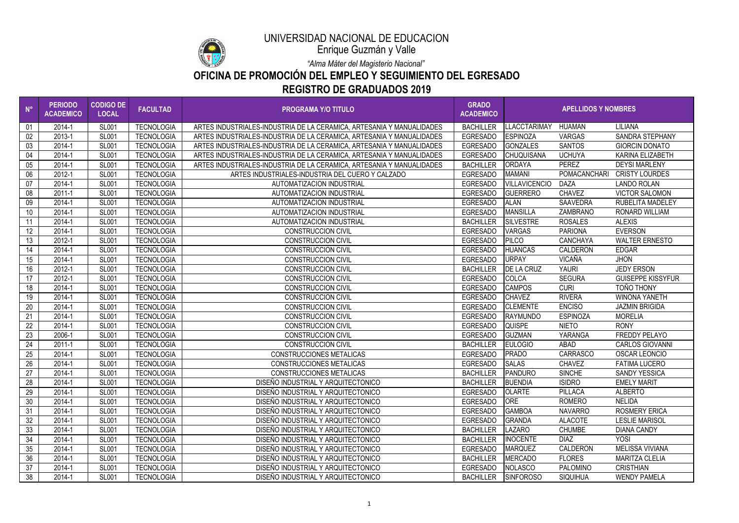| $N^{\circ}$     | <b>PERIODO</b><br><b>ACADEMICO</b> | <b>CODIGO DE</b><br><b>LOCAL</b> | <b>FACULTAD</b>   | <b>PROGRAMA Y/O TITULO</b>                                            | <b>GRADO</b><br><b>ACADEMICO</b> | <b>APELLIDOS Y NOMBRES</b> |                 |                          |
|-----------------|------------------------------------|----------------------------------|-------------------|-----------------------------------------------------------------------|----------------------------------|----------------------------|-----------------|--------------------------|
| 01              | 2014-1                             | <b>SL001</b>                     | <b>TECNOLOGIA</b> | ARTES INDUSTRIALES-INDUSTRIA DE LA CERAMICA, ARTESANIA Y MANUALIDADES | <b>BACHILLER</b>                 | <b>LLACCTARIMAY</b>        | <b>HUAMAN</b>   | <b>LILIANA</b>           |
| 02 <sub>2</sub> | 2013-1                             | <b>SL001</b>                     | <b>TECNOLOGIA</b> | ARTES INDUSTRIALES-INDUSTRIA DE LA CERAMICA. ARTESANIA Y MANUALIDADES | <b>EGRESADO</b>                  | <b>ESPINOZA</b>            | <b>VARGAS</b>   | <b>SANDRA STEPHANY</b>   |
| 03              | 2014-1                             | <b>SL001</b>                     | <b>TECNOLOGIA</b> | ARTES INDUSTRIALES-INDUSTRIA DE LA CERAMICA, ARTESANIA Y MANUALIDADES | <b>EGRESADO</b>                  | <b>GONZALES</b>            | <b>SANTOS</b>   | <b>GIORCIN DONATO</b>    |
| 04              | 2014-1                             | <b>SL001</b>                     | <b>TECNOLOGIA</b> | ARTES INDUSTRIALES-INDUSTRIA DE LA CERAMICA, ARTESANIA Y MANUALIDADES | <b>EGRESADO</b>                  | <b>CHUQUISANA</b>          | <b>UCHUYA</b>   | <b>KARINA ELIZABETH</b>  |
| 05              | 2014-1                             | <b>SL001</b>                     | <b>TECNOLOGIA</b> | ARTES INDUSTRIALES-INDUSTRIA DE LA CERAMICA, ARTESANIA Y MANUALIDADES | <b>BACHILLER</b>                 | <b>ORDAYA</b>              | <b>PEREZ</b>    | <b>DEYSI MARLENY</b>     |
| 06              | 2012-1                             | <b>SL001</b>                     | <b>TECNOLOGIA</b> | ARTES INDUSTRIALES-INDUSTRIA DEL CUERO Y CALZADO                      | <b>EGRESADO</b>                  | <b>MAMANI</b>              | POMACANCHARI    | <b>CRISTY LOURDES</b>    |
| 07              | 2014-1                             | <b>SL001</b>                     | <b>TECNOLOGIA</b> | AUTOMATIZACION INDUSTRIAL                                             | <b>EGRESADO</b>                  | <b>VILLAVICENCIO</b>       | <b>DAZA</b>     | <b>LANDO ROLAN</b>       |
| 08              | 2011-1                             | <b>SL001</b>                     | <b>TECNOLOGIA</b> | AUTOMATIZACION INDUSTRIAL                                             | <b>EGRESADO</b>                  | <b>GUERRERO</b>            | <b>CHAVEZ</b>   | <b>VICTOR SALOMON</b>    |
| 09              | 2014-1                             | <b>SL001</b>                     | <b>TECNOLOGIA</b> | AUTOMATIZACION INDUSTRIAL                                             | <b>EGRESADO</b>                  | <b>ALAN</b>                | <b>SAAVEDRA</b> | <b>RUBELITA MADELEY</b>  |
| 10 <sup>°</sup> | 2014-1                             | <b>SL001</b>                     | <b>TECNOLOGIA</b> | <b>AUTOMATIZACION INDUSTRIAL</b>                                      | <b>EGRESADO</b>                  | <b>MANSILLA</b>            | ZAMBRANO        | <b>RONARD WILLIAM</b>    |
| 11              | 2014-1                             | <b>SL001</b>                     | <b>TECNOLOGIA</b> | <b>AUTOMATIZACION INDUSTRIAL</b>                                      | <b>BACHILLER</b>                 | <b>SILVESTRE</b>           | <b>ROSALES</b>  | <b>ALEXIS</b>            |
| 12              | 2014-1                             | <b>SL001</b>                     | <b>TECNOLOGIA</b> | <b>CONSTRUCCION CIVIL</b>                                             | <b>EGRESADO</b>                  | <b>VARGAS</b>              | <b>PARIONA</b>  | <b>EVERSON</b>           |
| 13              | 2012-1                             | <b>SL001</b>                     | <b>TECNOLOGIA</b> | <b>CONSTRUCCION CIVIL</b>                                             | <b>EGRESADO</b>                  | <b>PILCO</b>               | <b>CANCHAYA</b> | <b>WALTER ERNESTO</b>    |
| 14              | 2014-1                             | <b>SL001</b>                     | <b>TECNOLOGIA</b> | <b>CONSTRUCCION CIVIL</b>                                             | <b>EGRESADO</b>                  | <b>HUANCAS</b>             | <b>CALDERON</b> | <b>EDGAR</b>             |
| 15              | 2014-1                             | <b>SL001</b>                     | <b>TECNOLOGIA</b> | <b>CONSTRUCCION CIVIL</b>                                             | <b>EGRESADO</b>                  | <b>URPAY</b>               | VICAÑA          | <b>JHON</b>              |
| 16              | 2012-1                             | <b>SL001</b>                     | <b>TECNOLOGIA</b> | <b>CONSTRUCCION CIVIL</b>                                             | <b>BACHILLER</b>                 | <b>DE LA CRUZ</b>          | <b>YAURI</b>    | <b>JEDY ERSON</b>        |
| 17              | 2012-1                             | <b>SL001</b>                     | <b>TECNOLOGIA</b> | <b>CONSTRUCCION CIVIL</b>                                             | <b>EGRESADO</b>                  | COLCA                      | <b>SEGURA</b>   | <b>GUISEPPE KISSYFUR</b> |
| 18              | 2014-1                             | <b>SL001</b>                     | <b>TECNOLOGIA</b> | <b>CONSTRUCCION CIVIL</b>                                             | <b>EGRESADO</b>                  | <b>CAMPOS</b>              | <b>CURI</b>     | <b>TOÑO THONY</b>        |
| 19              | 2014-1                             | <b>SL001</b>                     | <b>TECNOLOGIA</b> | <b>CONSTRUCCION CIVIL</b>                                             | <b>EGRESADO</b>                  | <b>CHAVEZ</b>              | <b>RIVERA</b>   | <b>WINONA YANETH</b>     |
| 20              | 2014-1                             | <b>SL001</b>                     | <b>TECNOLOGIA</b> | <b>CONSTRUCCION CIVIL</b>                                             | <b>EGRESADO</b>                  | <b>CLEMENTE</b>            | <b>ENCISO</b>   | <b>JAZMIN BRIGIDA</b>    |
| 21              | 2014-1                             | <b>SL001</b>                     | <b>TECNOLOGIA</b> | <b>CONSTRUCCION CIVIL</b>                                             | <b>EGRESADO</b>                  | <b>RAYMUNDO</b>            | <b>ESPINOZA</b> | <b>MORELIA</b>           |
| 22              | 2014-1                             | <b>SL001</b>                     | <b>TECNOLOGIA</b> | <b>CONSTRUCCION CIVIL</b>                                             | <b>EGRESADO</b>                  | <b>QUISPE</b>              | <b>NIETO</b>    | <b>RONY</b>              |
| 23              | 2006-1                             | <b>SL001</b>                     | <b>TECNOLOGIA</b> | <b>CONSTRUCCION CIVIL</b>                                             | <b>EGRESADO</b>                  | <b>GUZMAN</b>              | YARANGA         | <b>FREDDY PELAYO</b>     |
| 24              | 2011-1                             | <b>SL001</b>                     | <b>TECNOLOGIA</b> | <b>CONSTRUCCION CIVIL</b>                                             | <b>BACHILLER</b>                 | <b>EULOGIO</b>             | ABAD            | <b>CARLOS GIOVANNI</b>   |
| 25              | 2014-1                             | <b>SL001</b>                     | <b>TECNOLOGIA</b> | <b>CONSTRUCCIONES METALICAS</b>                                       | <b>EGRESADO</b>                  | <b>PRADO</b>               | <b>CARRASCO</b> | <b>OSCAR LEONCIO</b>     |
| 26              | 2014-1                             | <b>SL001</b>                     | <b>TECNOLOGIA</b> | <b>CONSTRUCCIONES METALICAS</b>                                       | <b>EGRESADO</b>                  | <b>SALAS</b>               | <b>CHAVEZ</b>   | <b>FATIMA LUCERO</b>     |
| 27              | 2014-1                             | <b>SL001</b>                     | <b>TECNOLOGIA</b> | <b>CONSTRUCCIONES METALICAS</b>                                       | <b>BACHILLER</b>                 | PANDURO                    | <b>SINCHE</b>   | <b>SANDY YESSICA</b>     |
| 28              | 2014-1                             | <b>SL001</b>                     | <b>TECNOLOGIA</b> | DISEÑO INDUSTRIAL Y ARQUITECTONICO                                    | <b>BACHILLER</b>                 | <b>BUENDIA</b>             | <b>ISIDRO</b>   | <b>EMELY MARIT</b>       |
| 29              | 2014-1                             | <b>SL001</b>                     | <b>TECNOLOGIA</b> | DISEÑO INDUSTRIAL Y ARQUITECTONICO                                    | <b>EGRESADO</b>                  | <b>OLARTE</b>              | <b>PILLACA</b>  | <b>ALBERTO</b>           |
| 30              | 2014-1                             | <b>SL001</b>                     | TECNOLOGIA        | DISEÑO INDUSTRIAL Y ARQUITECTONICO                                    | <b>EGRESADO</b>                  | <b>ORE</b>                 | <b>ROMERO</b>   | <b>NELIDA</b>            |
| 31              | 2014-1                             | <b>SL001</b>                     | <b>TECNOLOGIA</b> | DISEÑO INDUSTRIAL Y ARQUITECTONICO                                    | <b>EGRESADO</b>                  | <b>GAMBOA</b>              | <b>NAVARRO</b>  | <b>ROSMERY ERICA</b>     |
| 32              | 2014-1                             | <b>SL001</b>                     | <b>TECNOLOGIA</b> | DISEÑO INDUSTRIAL Y ARQUITECTONICO                                    | <b>EGRESADO</b>                  | <b>GRANDA</b>              | <b>ALACOTE</b>  | <b>LESLIE MARISOL</b>    |
| 33              | 2014-1                             | <b>SL001</b>                     | <b>TECNOLOGIA</b> | DISEÑO INDUSTRIAL Y ARQUITECTONICO                                    | <b>BACHILLER</b>                 | <b>LAZARO</b>              | <b>CHUMBE</b>   | <b>DIANA CANDY</b>       |
| 34              | 2014-1                             | <b>SL001</b>                     | <b>TECNOLOGIA</b> | DISEÑO INDUSTRIAL Y ARQUITECTONICO                                    | <b>BACHILLER</b>                 | <b>INOCENTE</b>            | <b>DIAZ</b>     | YOSI                     |
| 35              | 2014-1                             | <b>SL001</b>                     | <b>TECNOLOGIA</b> | DISEÑO INDUSTRIAL Y ARQUITECTONICO                                    | <b>EGRESADO</b>                  | <b>MARQUEZ</b>             | CALDERON        | <b>MELISSA VIVIANA</b>   |
| 36              | 2014-1                             | <b>SL001</b>                     | <b>TECNOLOGIA</b> | DISEÑO INDUSTRIAL Y ARQUITECTONICO                                    | <b>BACHILLER</b>                 | <b>MERCADO</b>             | <b>FLORES</b>   | <b>MARITZA CLELIA</b>    |
| 37              | 2014-1                             | <b>SL001</b>                     | <b>TECNOLOGIA</b> | DISEÑO INDUSTRIAL Y ARQUITECTONICO                                    | <b>EGRESADO</b>                  | <b>NOLASCO</b>             | PALOMINO        | <b>CRISTHIAN</b>         |
| 38              | 2014-1                             | <b>SL001</b>                     | <b>TECNOLOGIA</b> | DISEÑO INDUSTRIAL Y ARQUITECTONICO                                    | <b>BACHILLER</b>                 | <b>SINFOROSO</b>           | <b>SIQUIHUA</b> | <b>WENDY PAMELA</b>      |



Enrique Guzmán y Valle

*"Alma Máter del Magisterio Nacional"*

# **OFICINA DE PROMOCIÓN DEL EMPLEO Y SEGUIMIENTO DEL EGRESADO**

# **REGISTRO DE GRADUADOS 2019**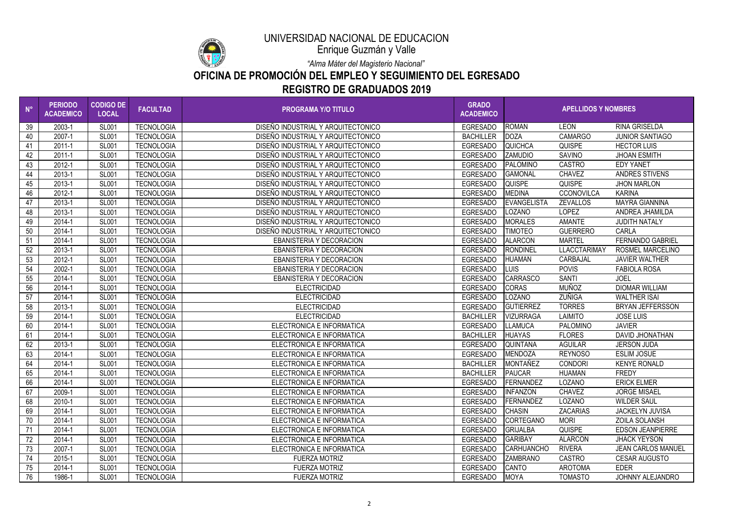

Enrique Guzmán y Valle

*"Alma Máter del Magisterio Nacional"*

### **OFICINA DE PROMOCIÓN DEL EMPLEO Y SEGUIMIENTO DEL EGRESADO REGISTRO DE GRADUADOS 2019**

| $N^{\circ}$ | <b>PERIODO</b><br><b>ACADEMICO</b> | <b>CODIGO DE</b><br><b>LOCAL</b> | <b>FACULTAD</b>   | <b>PROGRAMA Y/O TITULO</b>         | <b>GRADO</b><br><b>ACADEMICO</b> | <b>APELLIDOS Y NOMBRES</b> |                     |                           |
|-------------|------------------------------------|----------------------------------|-------------------|------------------------------------|----------------------------------|----------------------------|---------------------|---------------------------|
| 39          | 2003-1                             | <b>SL001</b>                     | <b>TECNOLOGIA</b> | DISEÑO INDUSTRIAL Y ARQUITECTONICO | <b>EGRESADO</b>                  | <b>ROMAN</b>               | <b>LEON</b>         | <b>RINA GRISELDA</b>      |
| 40          | 2007-1                             | <b>SL001</b>                     | <b>TECNOLOGIA</b> | DISEÑO INDUSTRIAL Y ARQUITECTONICO | <b>BACHILLER</b>                 | <b>DOZA</b>                | <b>CAMARGO</b>      | <b>JUNIOR SANTIAGO</b>    |
| 41          | $2011 - 1$                         | <b>SL001</b>                     | <b>TECNOLOGIA</b> | DISEÑO INDUSTRIAL Y ARQUITECTONICO | <b>EGRESADO</b>                  | <b>QUICHCA</b>             | <b>QUISPE</b>       | <b>HECTOR LUIS</b>        |
| 42          | 2011-1                             | <b>SL001</b>                     | <b>TECNOLOGIA</b> | DISEÑO INDUSTRIAL Y ARQUITECTONICO | <b>EGRESADO</b>                  | <b>ZAMUDIO</b>             | <b>SAVINO</b>       | <b>JHOAN ESMITH</b>       |
| 43          | 2012-1                             | <b>SL001</b>                     | <b>TECNOLOGIA</b> | DISEÑO INDUSTRIAL Y ARQUITECTONICO | <b>EGRESADO</b>                  | <b>PALOMINO</b>            | <b>CASTRO</b>       | <b>EDY YANET</b>          |
| 44          | 2013-1                             | <b>SL001</b>                     | <b>TECNOLOGIA</b> | DISEÑO INDUSTRIAL Y ARQUITECTONICO | <b>EGRESADO</b>                  | <b>GAMONAL</b>             | <b>CHAVEZ</b>       | <b>ANDRES STIVENS</b>     |
| 45          | 2013-1                             | <b>SL001</b>                     | <b>TECNOLOGIA</b> | DISEÑO INDUSTRIAL Y ARQUITECTONICO | <b>EGRESADO</b>                  | <b>QUISPE</b>              | <b>QUISPE</b>       | <b>JHON MARLON</b>        |
| 46          | 2012-1                             | <b>SL001</b>                     | <b>TECNOLOGIA</b> | DISEÑO INDUSTRIAL Y ARQUITECTONICO | <b>EGRESADO</b>                  | <b>MEDINA</b>              | <b>CCONOVILCA</b>   | <b>KARINA</b>             |
| 47          | 2013-1                             | <b>SL001</b>                     | <b>TECNOLOGIA</b> | DISEÑO INDUSTRIAL Y ARQUITECTONICO | <b>EGRESADO</b>                  | <b>EVANGELISTA</b>         | <b>ZEVALLOS</b>     | <b>MAYRA GIANNINA</b>     |
| 48          | 2013-1                             | <b>SL001</b>                     | <b>TECNOLOGIA</b> | DISEÑO INDUSTRIAL Y ARQUITECTONICO | <b>EGRESADO</b>                  | LOZANO                     | <b>LOPEZ</b>        | ANDREA JHAMILDA           |
| 49          | 2014-1                             | <b>SL001</b>                     | <b>TECNOLOGIA</b> | DISEÑO INDUSTRIAL Y ARQUITECTONICO | <b>EGRESADO</b>                  | <b>MORALES</b>             | <b>AMANTE</b>       | <b>JUDITH NATALY</b>      |
| 50          | 2014-1                             | <b>SL001</b>                     | <b>TECNOLOGIA</b> | DISEÑO INDUSTRIAL Y ARQUITECTONICO | <b>EGRESADO</b>                  | <b>TIMOTEO</b>             | <b>GUERRERO</b>     | <b>CARLA</b>              |
| 51          | 2014-1                             | <b>SL001</b>                     | <b>TECNOLOGIA</b> | <b>EBANISTERIA Y DECORACION</b>    | <b>EGRESADO</b>                  | <b>ALARCON</b>             | <b>MARTEL</b>       | <b>FERNANDO GABRIEL</b>   |
| 52          | 2013-1                             | <b>SL001</b>                     | <b>TECNOLOGIA</b> | <b>EBANISTERIA Y DECORACION</b>    | <b>EGRESADO</b>                  | <b>RONDINEL</b>            | <b>LLACCTARIMAY</b> | <b>ROSMEL MARCELINO</b>   |
| 53          | 2012-1                             | <b>SL001</b>                     | <b>TECNOLOGIA</b> | <b>EBANISTERIA Y DECORACION</b>    | <b>EGRESADO</b>                  | <b>HUAMAN</b>              | <b>CARBAJAL</b>     | <b>JAVIER WALTHER</b>     |
| 54          | 2002-1                             | <b>SL001</b>                     | <b>TECNOLOGIA</b> | <b>EBANISTERIA Y DECORACION</b>    | <b>EGRESADO</b>                  | <b>LUIS</b>                | <b>POVIS</b>        | <b>FABIOLA ROSA</b>       |
| 55          | 2014-1                             | <b>SL001</b>                     | <b>TECNOLOGIA</b> | <b>EBANISTERIA Y DECORACION</b>    | <b>EGRESADO</b>                  | <b>CARRASCO</b>            | <b>SANTI</b>        | <b>JOEL</b>               |
| 56          | 2014-1                             | <b>SL001</b>                     | <b>TECNOLOGIA</b> | <b>ELECTRICIDAD</b>                | <b>EGRESADO</b>                  | <b>CORAS</b>               | <b>MUÑOZ</b>        | <b>DIOMAR WILLIAM</b>     |
| 57          | 2014-1                             | <b>SL001</b>                     | <b>TECNOLOGIA</b> | <b>ELECTRICIDAD</b>                | <b>EGRESADO</b>                  | LOZANO                     | ZUÑIGA              | <b>WALTHER ISAI</b>       |
| 58          | 2013-1                             | <b>SL001</b>                     | <b>TECNOLOGIA</b> | <b>ELECTRICIDAD</b>                | <b>EGRESADO</b>                  | <b>GUTIERREZ</b>           | <b>TORRES</b>       | <b>BRYAN JEFFERSSON</b>   |
| 59          | 2014-1                             | <b>SL001</b>                     | <b>TECNOLOGIA</b> | <b>ELECTRICIDAD</b>                | <b>BACHILLER</b>                 | <b>VIZURRAGA</b>           | <b>LAIMITO</b>      | <b>JOSE LUIS</b>          |
| 60          | 2014-1                             | <b>SL001</b>                     | <b>TECNOLOGIA</b> | ELECTRONICA E INFORMATICA          | <b>EGRESADO</b>                  | LLAMUCA                    | PALOMINO            | <b>JAVIER</b>             |
| 61          | 2014-1                             | <b>SL001</b>                     | <b>TECNOLOGIA</b> | ELECTRONICA E INFORMATICA          | <b>BACHILLER</b>                 | <b>HUAYAS</b>              | <b>FLORES</b>       | <b>DAVID JHONATHAN</b>    |
| 62          | 2013-1                             | <b>SL001</b>                     | <b>TECNOLOGIA</b> | ELECTRONICA E INFORMATICA          | <b>EGRESADO</b>                  | <b>QUINTANA</b>            | <b>AGUILAR</b>      | <b>JERSON JUDA</b>        |
| 63          | 2014-1                             | <b>SL001</b>                     | <b>TECNOLOGIA</b> | ELECTRONICA E INFORMATICA          | <b>EGRESADO</b>                  | <b>MENDOZA</b>             | <b>REYNOSO</b>      | <b>ESLIM JOSUE</b>        |
| 64          | 2014-1                             | <b>SL001</b>                     | <b>TECNOLOGIA</b> | ELECTRONICA E INFORMATICA          | <b>BACHILLER</b>                 | <b>MONTAÑEZ</b>            | <b>CONDORI</b>      | <b>KENYE RONALD</b>       |
| 65          | 2014-1                             | <b>SL001</b>                     | <b>TECNOLOGIA</b> | ELECTRONICA E INFORMATICA          | <b>BACHILLER</b>                 | <b>PAUCAR</b>              | <b>HUAMAN</b>       | <b>FREDY</b>              |
| 66          | 2014-1                             | <b>SL001</b>                     | <b>TECNOLOGIA</b> | ELECTRONICA E INFORMATICA          | <b>EGRESADO</b>                  | FERNANDEZ                  | <b>LOZANO</b>       | <b>ERICK ELMER</b>        |
| 67          | 2009-1                             | <b>SL001</b>                     | <b>TECNOLOGIA</b> | ELECTRONICA E INFORMATICA          | <b>EGRESADO</b>                  | <b>INFANZON</b>            | <b>CHAVEZ</b>       | <b>JORGE MISAEL</b>       |
| 68          | 2010-1                             | <b>SL001</b>                     | <b>TECNOLOGIA</b> | ELECTRONICA E INFORMATICA          | <b>EGRESADO</b>                  | FERNANDEZ                  | <b>LOZANO</b>       | <b>WILDER SAUL</b>        |
| 69          | 2014-1                             | <b>SL001</b>                     | <b>TECNOLOGIA</b> | ELECTRONICA E INFORMATICA          | <b>EGRESADO</b>                  | <b>CHASIN</b>              | <b>ZACARIAS</b>     | <b>JACKELYN JUVISA</b>    |
| 70          | 2014-1                             | <b>SL001</b>                     | <b>TECNOLOGIA</b> | ELECTRONICA E INFORMATICA          | <b>EGRESADO</b>                  | <b>CORTEGANO</b>           | <b>MORI</b>         | <b>ZOILA SOLANSH</b>      |
| 71          | 2014-1                             | <b>SL001</b>                     | <b>TECNOLOGIA</b> | ELECTRONICA E INFORMATICA          | <b>EGRESADO</b>                  | <b>GRIJALBA</b>            | QUISPE              | <b>EDSON JEANPIERRE</b>   |
| 72          | 2014-1                             | <b>SL001</b>                     | <b>TECNOLOGIA</b> | ELECTRONICA E INFORMATICA          | <b>EGRESADO</b>                  | <b>GARIBAY</b>             | <b>ALARCON</b>      | <b>JHACK YEYSON</b>       |
| 73          | 2007-1                             | <b>SL001</b>                     | <b>TECNOLOGIA</b> | ELECTRONICA E INFORMATICA          | <b>EGRESADO</b>                  | <b>CARHUANCHO</b>          | <b>RIVERA</b>       | <b>JEAN CARLOS MANUEL</b> |
| 74          | 2015-1                             | <b>SL001</b>                     | <b>TECNOLOGIA</b> | <b>FUERZA MOTRIZ</b>               | <b>EGRESADO</b>                  | <b>ZAMBRANO</b>            | CASTRO              | <b>CESAR AUGUSTO</b>      |
| 75          | 2014-1                             | <b>SL001</b>                     | <b>TECNOLOGIA</b> | <b>FUERZA MOTRIZ</b>               | <b>EGRESADO</b>                  | <b>CANTO</b>               | <b>AROTOMA</b>      | <b>EDER</b>               |
| 76          | 1986-1                             | <b>SL001</b>                     | <b>TECNOLOGIA</b> | <b>FUERZA MOTRIZ</b>               | <b>EGRESADO</b>                  | <b>MOYA</b>                | <b>TOMASTO</b>      | JOHNNY ALEJANDRO          |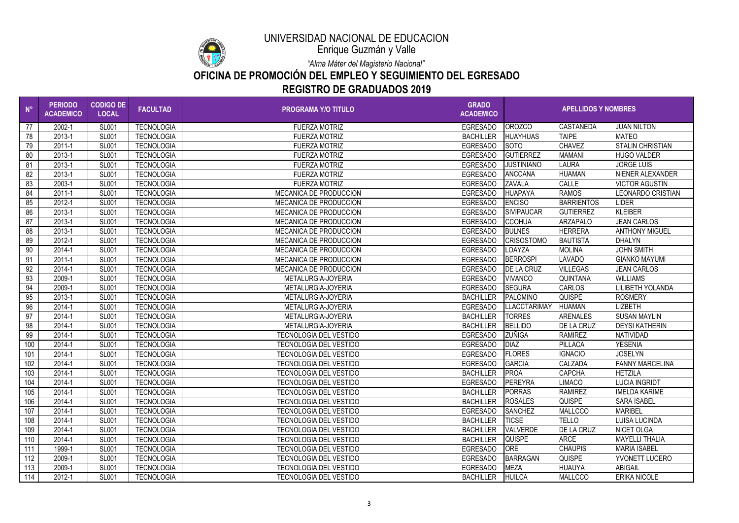

Enrique Guzmán y Valle

*"Alma Máter del Magisterio Nacional"*

### **OFICINA DE PROMOCIÓN DEL EMPLEO Y SEGUIMIENTO DEL EGRESADO REGISTRO DE GRADUADOS 2019**

| $N^{\circ}$ | <b>PERIODO</b><br><b>ACADEMICO</b> | <b>CODIGO DE</b><br><b>LOCAL</b> | <b>FACULTAD</b>   | <b>PROGRAMA Y/O TITULO</b>    | <b>GRADO</b><br><b>ACADEMICO</b> | <b>APELLIDOS Y NOMBRES</b> |                   |                          |
|-------------|------------------------------------|----------------------------------|-------------------|-------------------------------|----------------------------------|----------------------------|-------------------|--------------------------|
| 77          | 2002-1                             | <b>SL001</b>                     | <b>TECNOLOGIA</b> | <b>FUERZA MOTRIZ</b>          | <b>EGRESADO</b>                  | <b>OROZCO</b>              | CASTAÑEDA         | <b>JUAN NILTON</b>       |
| 78          | 2013-1                             | <b>SL001</b>                     | <b>TECNOLOGIA</b> | <b>FUERZA MOTRIZ</b>          | <b>BACHILLER</b>                 | <b>HUAYHUAS</b>            | <b>TAIPE</b>      | <b>MATEO</b>             |
| 79          | $2011 - 1$                         | <b>SL001</b>                     | <b>TECNOLOGIA</b> | <b>FUERZA MOTRIZ</b>          | <b>EGRESADO</b>                  | <b>SOTO</b>                | <b>CHAVEZ</b>     | <b>STALIN CHRISTIAN</b>  |
| 80          | 2013-1                             | <b>SL001</b>                     | <b>TECNOLOGIA</b> | <b>FUERZA MOTRIZ</b>          | <b>EGRESADO</b>                  | <b>GUTIERREZ</b>           | <b>MAMANI</b>     | <b>HUGO VALDER</b>       |
| 81          | 2013-1                             | <b>SL001</b>                     | <b>TECNOLOGIA</b> | <b>FUERZA MOTRIZ</b>          | <b>EGRESADO</b>                  | <b>JUSTINIANO</b>          | <b>LAURA</b>      | <b>JORGE LUIS</b>        |
| 82          | 2013-1                             | <b>SL001</b>                     | <b>TECNOLOGIA</b> | <b>FUERZA MOTRIZ</b>          | <b>EGRESADO</b>                  | <b>ANCCANA</b>             | <b>HUAMAN</b>     | NIENER ALEXANDER         |
| 83          | 2003-1                             | <b>SL001</b>                     | <b>TECNOLOGIA</b> | <b>FUERZA MOTRIZ</b>          | <b>EGRESADO</b>                  | <b>ZAVALA</b>              | CALLE             | <b>VICTOR AGUSTIN</b>    |
| 84          | 2011-1                             | <b>SL001</b>                     | <b>TECNOLOGIA</b> | <b>MECANICA DE PRODUCCION</b> | <b>EGRESADO</b>                  | <b>HUAPAYA</b>             | <b>RAMOS</b>      | <b>LEONARDO CRISTIAN</b> |
| 85          | 2012-1                             | <b>SL001</b>                     | <b>TECNOLOGIA</b> | <b>MECANICA DE PRODUCCION</b> | <b>EGRESADO</b>                  | <b>ENCISO</b>              | <b>BARRIENTOS</b> | <b>LIDER</b>             |
| 86          | 2013-1                             | <b>SL001</b>                     | <b>TECNOLOGIA</b> | <b>MECANICA DE PRODUCCION</b> | <b>EGRESADO</b>                  | <b>SIVIPAUCAR</b>          | <b>GUTIERREZ</b>  | <b>KLEIBER</b>           |
| 87          | 2013-1                             | <b>SL001</b>                     | <b>TECNOLOGIA</b> | <b>MECANICA DE PRODUCCION</b> | <b>EGRESADO</b>                  | <b>CCOHUA</b>              | <b>ARZAPALO</b>   | <b>JEAN CARLOS</b>       |
| 88          | 2013-1                             | <b>SL001</b>                     | <b>TECNOLOGIA</b> | MECANICA DE PRODUCCION        | <b>EGRESADO</b>                  | <b>BULNES</b>              | <b>HERRERA</b>    | <b>ANTHONY MIGUEL</b>    |
| 89          | 2012-1                             | <b>SL001</b>                     | <b>TECNOLOGIA</b> | MECANICA DE PRODUCCION        | <b>EGRESADO</b>                  | <b>CRISOSTOMO</b>          | <b>BAUTISTA</b>   | <b>DHALYN</b>            |
| 90          | 2014-1                             | <b>SL001</b>                     | <b>TECNOLOGIA</b> | <b>MECANICA DE PRODUCCION</b> | <b>EGRESADO</b>                  | LOAYZA                     | <b>MOLINA</b>     | <b>JOHN SMITH</b>        |
| 91          | 2011-1                             | <b>SL001</b>                     | <b>TECNOLOGIA</b> | <b>MECANICA DE PRODUCCION</b> | <b>EGRESADO</b>                  | <b>BERROSPI</b>            | <b>LAVADO</b>     | <b>GIANKO MAYUMI</b>     |
| 92          | 2014-1                             | <b>SL001</b>                     | <b>TECNOLOGIA</b> | <b>MECANICA DE PRODUCCION</b> | <b>EGRESADO</b>                  | <b>DE LA CRUZ</b>          | <b>VILLEGAS</b>   | <b>JEAN CARLOS</b>       |
| 93          | 2009-1                             | <b>SL001</b>                     | <b>TECNOLOGIA</b> | METALURGIA-JOYERIA            | <b>EGRESADO</b>                  | <b>VIVANCO</b>             | <b>QUINTANA</b>   | <b>WILLIAMS</b>          |
| 94          | 2009-1                             | <b>SL001</b>                     | <b>TECNOLOGIA</b> | METALURGIA-JOYERIA            | <b>EGRESADO</b>                  | <b>SEGURA</b>              | <b>CARLOS</b>     | <b>LILIBETH YOLANDA</b>  |
| 95          | 2013-1                             | <b>SL001</b>                     | <b>TECNOLOGIA</b> | METALURGIA-JOYERIA            | <b>BACHILLER</b>                 | <b>PALOMINO</b>            | <b>QUISPE</b>     | <b>ROSMERY</b>           |
| 96          | 2014-1                             | <b>SL001</b>                     | <b>TECNOLOGIA</b> | METALURGIA-JOYERIA            | <b>EGRESADO</b>                  | LLACCTARIMAY               | <b>HUAMAN</b>     | <b>LIZBETH</b>           |
| 97          | 2014-1                             | <b>SL001</b>                     | <b>TECNOLOGIA</b> | METALURGIA-JOYERIA            | <b>BACHILLER</b>                 | <b>TORRES</b>              | ARENALES          | <b>SUSAN MAYLIN</b>      |
| 98          | 2014-1                             | <b>SL001</b>                     | <b>TECNOLOGIA</b> | METALURGIA-JOYERIA            | <b>BACHILLER</b>                 | <b>BELLIDO</b>             | DE LA CRUZ        | <b>DEYSI KATHERIN</b>    |
| 99          | 2014-1                             | <b>SL001</b>                     | <b>TECNOLOGIA</b> | <b>TECNOLOGIA DEL VESTIDO</b> | <b>EGRESADO</b>                  | <b>ZUÑIGA</b>              | <b>RAMIREZ</b>    | <b>NATIVIDAD</b>         |
| 100         | 2014-1                             | <b>SL001</b>                     | <b>TECNOLOGIA</b> | <b>TECNOLOGIA DEL VESTIDO</b> | <b>EGRESADO</b>                  | <b>DIAZ</b>                | <b>PILLACA</b>    | <b>YESENIA</b>           |
| 101         | 2014-1                             | <b>SL001</b>                     | <b>TECNOLOGIA</b> | <b>TECNOLOGIA DEL VESTIDO</b> | <b>EGRESADO</b>                  | <b>FLORES</b>              | <b>IGNACIO</b>    | <b>JOSELYN</b>           |
| 102         | 2014-1                             | <b>SL001</b>                     | <b>TECNOLOGIA</b> | <b>TECNOLOGIA DEL VESTIDO</b> | <b>EGRESADO</b>                  | <b>GARCIA</b>              | CALZADA           | <b>FANNY MARCELINA</b>   |
| 103         | 2014-1                             | <b>SL001</b>                     | <b>TECNOLOGIA</b> | <b>TECNOLOGIA DEL VESTIDO</b> | <b>BACHILLER</b>                 | <b>PROA</b>                | <b>CAPCHA</b>     | <b>HETZILA</b>           |
| 104         | 2014-1                             | <b>SL001</b>                     | <b>TECNOLOGIA</b> | <b>TECNOLOGIA DEL VESTIDO</b> | <b>EGRESADO</b>                  | PEREYRA                    | <b>LIMACO</b>     | <b>LUCIA INGRIDT</b>     |
| 105         | 2014-1                             | <b>SL001</b>                     | <b>TECNOLOGIA</b> | <b>TECNOLOGIA DEL VESTIDO</b> | <b>BACHILLER</b>                 | <b>PORRAS</b>              | <b>RAMIREZ</b>    | <b>IMELDA KARIME</b>     |
| 106         | 2014-1                             | <b>SL001</b>                     | <b>TECNOLOGIA</b> | <b>TECNOLOGIA DEL VESTIDO</b> | <b>BACHILLER</b>                 | <b>ROSALES</b>             | <b>QUISPE</b>     | <b>SARA ISABEL</b>       |
| 107         | 2014-1                             | <b>SL001</b>                     | <b>TECNOLOGIA</b> | <b>TECNOLOGIA DEL VESTIDO</b> | <b>EGRESADO</b>                  | <b>SANCHEZ</b>             | <b>MALLCCO</b>    | <b>MARIBEL</b>           |
| 108         | 2014-1                             | <b>SL001</b>                     | <b>TECNOLOGIA</b> | <b>TECNOLOGIA DEL VESTIDO</b> | <b>BACHILLER</b>                 | <b>TICSE</b>               | <b>TELLO</b>      | <b>LUISA LUCINDA</b>     |
| 109         | 2014-1                             | <b>SL001</b>                     | <b>TECNOLOGIA</b> | <b>TECNOLOGIA DEL VESTIDO</b> | <b>BACHILLER</b>                 | <b>VALVERDE</b>            | DE LA CRUZ        | NICET OLGA               |
| 110         | 2014-1                             | <b>SL001</b>                     | <b>TECNOLOGIA</b> | <b>TECNOLOGIA DEL VESTIDO</b> | <b>BACHILLER</b>                 | <b>QUISPE</b>              | <b>ARCE</b>       | <b>MAYELLI THALIA</b>    |
| 111         | 1999-1                             | <b>SL001</b>                     | <b>TECNOLOGIA</b> | <b>TECNOLOGIA DEL VESTIDO</b> | <b>EGRESADO</b>                  | <b>ORE</b>                 | <b>CHAUPIS</b>    | <b>MARIA ISABEL</b>      |
| 112         | 2009-1                             | <b>SL001</b>                     | <b>TECNOLOGIA</b> | <b>TECNOLOGIA DEL VESTIDO</b> | <b>EGRESADO</b>                  | <b>BARRAGAN</b>            | <b>QUISPE</b>     | YVONETT LUCERO           |
| 113         | 2009-1                             | <b>SL001</b>                     | <b>TECNOLOGIA</b> | <b>TECNOLOGIA DEL VESTIDO</b> | <b>EGRESADO</b>                  | <b>MEZA</b>                | <b>HUAUYA</b>     | <b>ABIGAIL</b>           |
| 114         | 2012-1                             | <b>SL001</b>                     | <b>TECNOLOGIA</b> | <b>TECNOLOGIA DEL VESTIDO</b> | <b>BACHILLER</b>                 | <b>HUILCA</b>              | <b>MALLCCO</b>    | <b>ERIKA NICOLE</b>      |